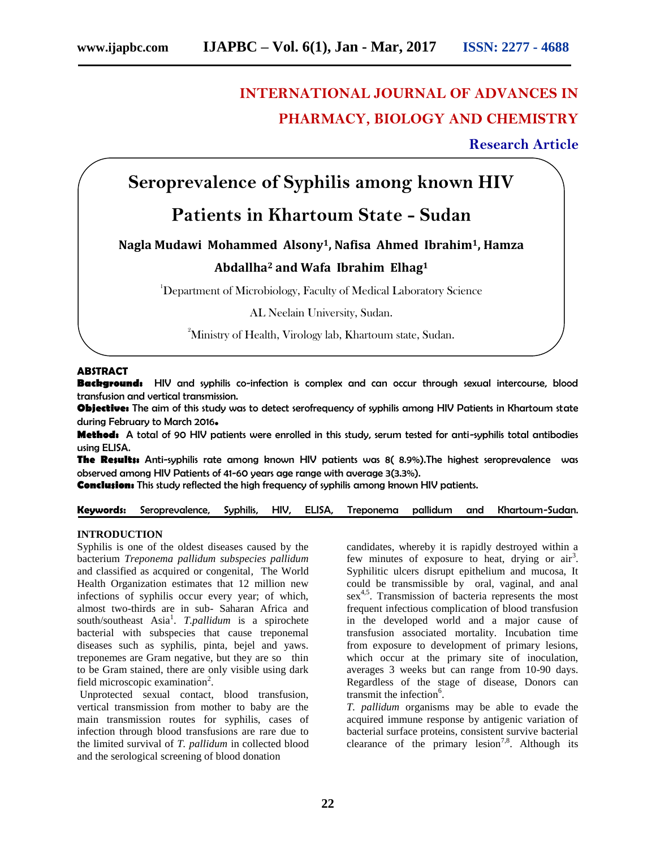# **INTERNATIONAL JOURNAL OF ADVANCES IN PHARMACY, BIOLOGY AND CHEMISTRY**

**Research Article**

# **Seroprevalence of Syphilis among known HIV**

# **Patients in Khartoum State - Sudan**

## **Nagla Mudawi Mohammed Alsony1, Nafisa Ahmed Ibrahim1, Hamza Abdallha<sup>2</sup> and Wafa Ibrahim Elhag<sup>1</sup>**

<sup>1</sup>Department of Microbiology, Faculty of Medical Laboratory Science

AL Neelain University, Sudan.

<sup>2</sup>Ministry of Health, Virology lab, Khartoum state, Sudan.

### **ABSTRACT**

**Background:** HIV and syphilis co-infection is complex and can occur through sexual intercourse, blood transfusion and vertical transmission.

**Objective:** The aim of this study was to detect serofrequency of syphilis among HIV Patients in Khartoum state during February to March 2016**.**

**Method:** A total of 90 HIV patients were enrolled in this study, serum tested for anti-syphilis total antibodies using ELISA.

**The Results:** Anti-syphilis rate among known HIV patients was 8( 8.9%).The highest seroprevalence was observed among HIV Patients of 41-60 years age range with average 3(3.3%).

**Conclusion:** This study reflected the high frequency of syphilis among known HIV patients.

**Keywords:** Seroprevalence, Syphilis, HIV, ELISA, Treponema pallidum and Khartoum-Sudan.

#### **INTRODUCTION**

Syphilis is one of the oldest diseases caused by the bacterium *Treponema pallidum subspecies pallidum*  and classified as acquired or congenital*,* The World Health Organization estimates that 12 million new infections of syphilis occur every year; of which, almost two-thirds are in sub- Saharan Africa and south/southeast Asia<sup>1</sup>. *T.pallidum* is a spirochete bacterial with subspecies that cause treponemal diseases such as syphilis, pinta, bejel and yaws. treponemes are Gram negative, but they are so thin to be Gram stained, there are only visible using dark field microscopic examination<sup>2</sup>.

Unprotected sexual contact, blood transfusion, vertical transmission from mother to baby are the main transmission routes for syphilis, cases of infection through blood transfusions are rare due to the limited survival of *T. pallidum* in collected blood and the serological screening of blood donation

candidates, whereby it is rapidly destroyed within a few minutes of exposure to heat, drying or  $air<sup>3</sup>$ . Syphilitic ulcers disrupt epithelium and mucosa, It could be transmissible by oral, vaginal, and anal sex<sup>4,5</sup>. Transmission of bacteria represents the most frequent infectious complication of blood transfusion in the developed world and a major cause of transfusion associated mortality. Incubation time from exposure to development of primary lesions, which occur at the primary site of inoculation, averages 3 weeks but can range from 10-90 days. Regardless of the stage of disease, Donors can transmit the infection<sup>6</sup>.

*T. pallidum* organisms may be able to evade the acquired immune response by antigenic variation of bacterial surface proteins, consistent survive bacterial clearance of the primary lesion<sup>7,8</sup>. Although its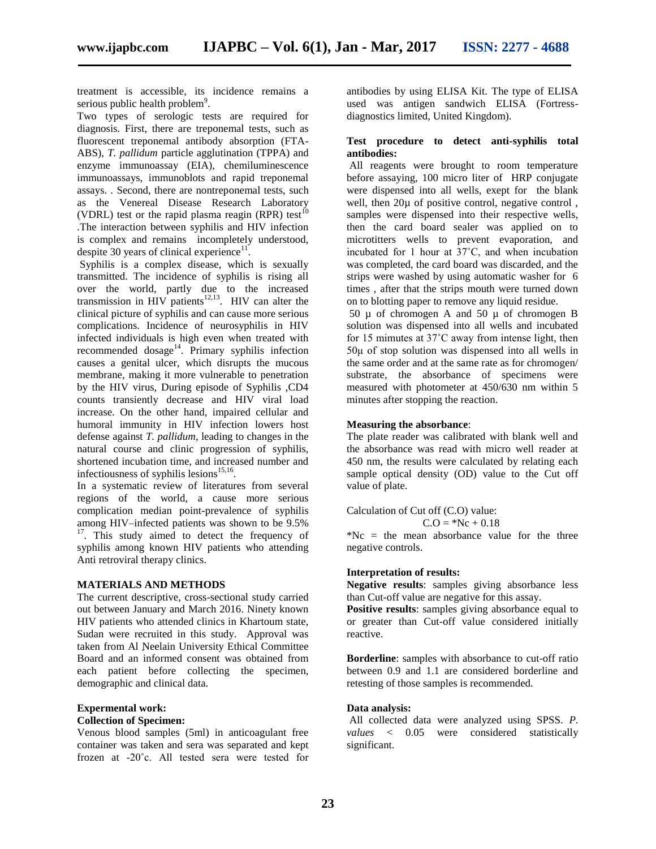treatment is accessible, its incidence remains a serious public health problem $9$ .

Two types of serologic tests are required for diagnosis. First, there are treponemal tests, such as fluorescent treponemal antibody absorption (FTA-ABS), *T. pallidum* particle agglutination (TPPA) and enzyme immunoassay (EIA), chemiluminescence immunoassays, immunoblots and rapid treponemal assays. . Second, there are nontreponemal tests, such as the Venereal Disease Research Laboratory (VDRL) test or the rapid plasma reagin (RPR) test<sup>1</sup> .The interaction between syphilis and HIV infection is complex and remains incompletely understood, despite 30 years of clinical experience<sup>11</sup>.

Syphilis is a complex disease, which is sexually transmitted. The incidence of syphilis is rising all over the world, partly due to the increased transmission in HIV patients<sup>12,13</sup>. HIV can alter the clinical picture of syphilis and can cause more serious complications. Incidence of neurosyphilis in HIV infected individuals is high even when treated with recommended dosage<sup>14</sup>. Primary syphilis infection causes a genital ulcer, which disrupts the mucous membrane, making it more vulnerable to penetration by the HIV virus, During episode of Syphilis ,CD4 counts transiently decrease and HIV viral load increase. On the other hand, impaired cellular and humoral immunity in HIV infection lowers host defense against *T. pallidum*, leading to changes in the natural course and clinic progression of syphilis, shortened incubation time, and increased number and infectiousness of syphilis lesions $^{15,16}$ .

In a systematic review of literatures from several regions of the world, a cause more serious complication median point-prevalence of syphilis among HIV–infected patients was shown to be 9.5% <sup>17</sup>. This study aimed to detect the frequency of syphilis among known HIV patients who attending Anti retroviral therapy clinics.

### **MATERIALS AND METHODS**

The current descriptive, cross-sectional study carried out between January and March 2016. Ninety known HIV patients who attended clinics in Khartoum state, Sudan were recruited in this study. Approval was taken from Al Neelain University Ethical Committee Board and an informed consent was obtained from each patient before collecting the specimen, demographic and clinical data.

### **Expermental work:**

#### **Collection of Specimen:**

Venous blood samples (5ml) in anticoagulant free container was taken and sera was separated and kept frozen at -20˚c. All tested sera were tested for

antibodies by using ELISA Kit. The type of ELISA used was antigen sandwich ELISA (Fortressdiagnostics limited, United Kingdom).

#### **Test procedure to detect anti-syphilis total antibodies:**

All reagents were brought to room temperature before assaying, 100 micro liter of HRP conjugate were dispensed into all wells, exept for the blank well, then 20 $\mu$  of positive control, negative control, samples were dispensed into their respective wells, then the card board sealer was applied on to microtitters wells to prevent evaporation, and incubated for 1 hour at 37˚C, and when incubation was completed, the card board was discarded, and the strips were washed by using automatic washer for 6 times , after that the strips mouth were turned down on to blotting paper to remove any liquid residue.

50  $\mu$  of chromogen A and 50  $\mu$  of chromogen B solution was dispensed into all wells and incubated for 15 mimutes at 37˚C away from intense light, then 50μ of stop solution was dispensed into all wells in the same order and at the same rate as for chromogen/ substrate, the absorbance of specimens were measured with photometer at 450/630 nm within 5 minutes after stopping the reaction.

#### **Measuring the absorbance**:

The plate reader was calibrated with blank well and the absorbance was read with micro well reader at 450 nm, the results were calculated by relating each sample optical density (OD) value to the Cut off value of plate.

Calculation of Cut off (C.O) value:

 $C.O = *Nc + 0.18$ 

 $Nc =$  the mean absorbance value for the three negative controls.

#### **Interpretation of results:**

**Negative results**: samples giving absorbance less than Cut-off value are negative for this assay.

**Positive results**: samples giving absorbance equal to or greater than Cut-off value considered initially reactive.

**Borderline**: samples with absorbance to cut-off ratio between 0.9 and 1.1 are considered borderline and retesting of those samples is recommended.

### **Data analysis:**

All collected data were analyzed using SPSS. *P. values* < 0.05 were considered statistically significant.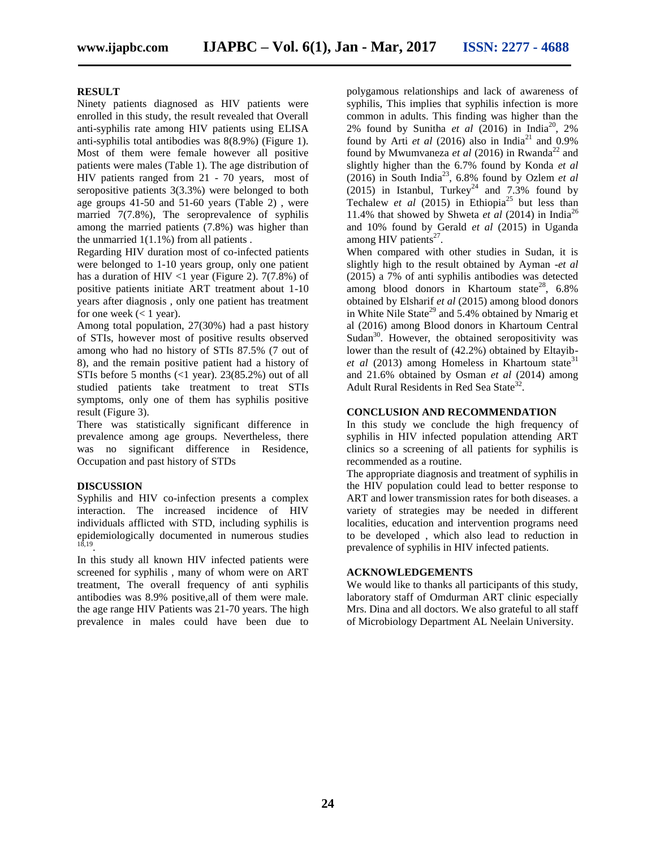#### **RESULT**

Ninety patients diagnosed as HIV patients were enrolled in this study, the result revealed that Overall anti-syphilis rate among HIV patients using ELISA anti-syphilis total antibodies was 8(8.9%) (Figure 1). Most of them were female however all positive patients were males (Table 1). The age distribution of HIV patients ranged from 21 - 70 years, most of seropositive patients 3(3.3%) were belonged to both age groups 41-50 and 51-60 years (Table 2) , were married 7(7.8%), The seroprevalence of syphilis among the married patients (7.8%) was higher than the unmarried  $1(1.1\%)$  from all patients.

Regarding HIV duration most of co-infected patients were belonged to 1-10 years group, only one patient has a duration of HIV <1 year (Figure 2).  $7(7.8%)$  of positive patients initiate ART treatment about 1-10 years after diagnosis , only one patient has treatment for one week  $(< 1$  year).

Among total population, 27(30%) had a past history of STIs, however most of positive results observed among who had no history of STIs 87.5% (7 out of 8), and the remain positive patient had a history of STIs before 5 months (<1 year). 23(85.2%) out of all studied patients take treatment to treat STIs symptoms, only one of them has syphilis positive result (Figure 3).

There was statistically significant difference in prevalence among age groups. Nevertheless, there was no significant difference in Residence, Occupation and past history of STDs

### **DISCUSSION**

Syphilis and HIV co-infection presents a complex interaction. The increased incidence of HIV individuals afflicted with STD, including syphilis is epidemiologically documented in numerous studies 18,19 .

In this study all known HIV infected patients were screened for syphilis , many of whom were on ART treatment, The overall frequency of anti syphilis antibodies was 8.9% positive,all of them were male. the age range HIV Patients was 21-70 years. The high prevalence in males could have been due to

polygamous relationships and lack of awareness of syphilis, This implies that syphilis infection is more common in adults. This finding was higher than the 2% found by Sunitha *et al* (2016) in India<sup>20</sup>, 2% found by Arti  $et$  al (2016) also in India<sup>21</sup> and 0.9% found by Mwumvaneza *et al* (2016) in Rwanda<sup>22</sup> and slightly higher than the 6.7% found by Konda *et al*  $(2016)$  in South India<sup>23</sup>, 6.8% found by Ozlem *et al*  $(2015)$  in Istanbul, Turkey<sup>24</sup> and 7.3% found by Techalew *et al* (2015) in Ethiopia<sup>25</sup> but less than 11.4% that showed by Shweta *et al* (2014) in India<sup>26</sup> and 10% found by Gerald *et al* (2015) in Uganda among HIV patients $27$ .

When compared with other studies in Sudan, it is slightly high to the result obtained by Ayman -*et al* (2015) a 7% of anti syphilis antibodies was detected among blood donors in Khartoum state<sup>28</sup>,  $6.8\%$ obtained by Elsharif *et al* (2015) among blood donors in White Nile State<sup>29</sup> and  $5.4\%$  obtained by Nmarig et al (2016) among Blood donors in Khartoum Central Sudan $30$ . However, the obtained seropositivity was lower than the result of (42.2%) obtained by Eltayib*et al* (2013) among Homeless in Khartoum state<sup>31</sup> and 21.6% obtained by Osman *et al* (2014) among Adult Rural Residents in Red Sea State<sup>32</sup>.

#### **CONCLUSION AND RECOMMENDATION**

In this study we conclude the high frequency of syphilis in HIV infected population attending ART clinics so a screening of all patients for syphilis is recommended as a routine.

The appropriate diagnosis and treatment of syphilis in the HIV population could lead to better response to ART and lower transmission rates for both diseases. a variety of strategies may be needed in different localities, education and intervention programs need to be developed , which also lead to reduction in prevalence of syphilis in HIV infected patients.

#### **ACKNOWLEDGEMENTS**

We would like to thanks all participants of this study, laboratory staff of Omdurman ART clinic especially Mrs. Dina and all doctors. We also grateful to all staff of Microbiology Department AL Neelain University.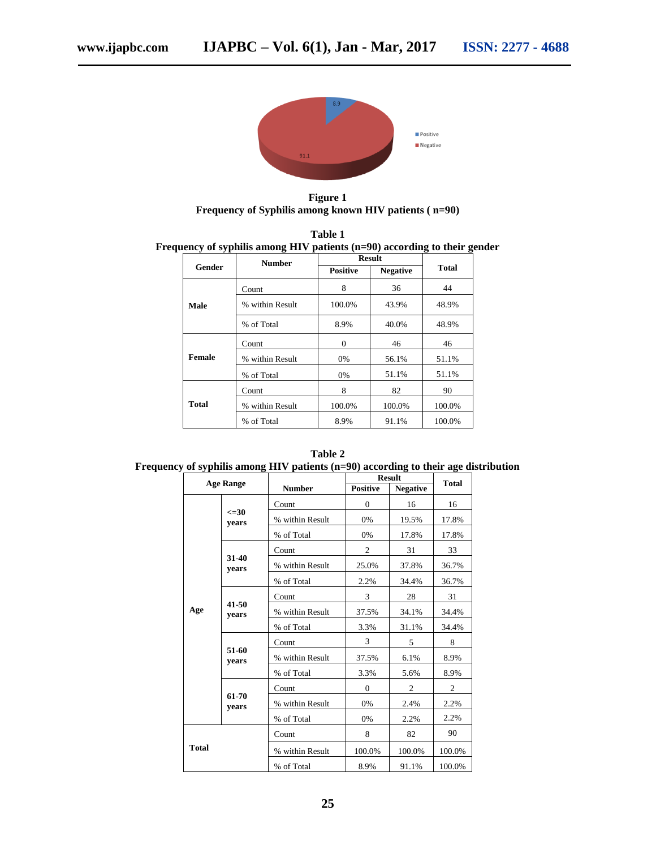

**Figure 1 Frequency of Syphilis among known HIV patients ( n=90)**

| Table 1                                                                     |
|-----------------------------------------------------------------------------|
| Frequency of syphilis among HIV patients $(n=90)$ according to their gender |

| $\cdot$<br>. . | o<br><b>Number</b> | <b>Result</b>   |                 | o<br>o       |  |
|----------------|--------------------|-----------------|-----------------|--------------|--|
| Gender         |                    | <b>Positive</b> | <b>Negative</b> | <b>Total</b> |  |
|                | Count              | 8               | 36              | 44           |  |
| Male           | % within Result    | 100.0%          | 43.9%           | 48.9%        |  |
|                | % of Total<br>8.9% |                 | 40.0%           | 48.9%        |  |
| Female         | Count              | $\Omega$        | 46              | 46           |  |
|                | % within Result    | 0%              | 56.1%           | 51.1%        |  |
|                | % of Total         | 0%              | 51.1%           | 51.1%        |  |
| <b>Total</b>   | Count              | 8               | 82              | 90           |  |
|                | % within Result    | 100.0%          | 100.0%          | 100.0%       |  |
|                | % of Total         | 8.9%            | 91.1%           | 100.0%       |  |

**Table 2 Frequency of syphilis among HIV patients (n=90) according to their age distribution**

| <b>Age Range</b> |                    |                 | <b>Result</b>   |                 |                |
|------------------|--------------------|-----------------|-----------------|-----------------|----------------|
|                  |                    | <b>Number</b>   | <b>Positive</b> | <b>Negative</b> | Total          |
| Age              | $\leq 30$<br>vears | Count           | $\Omega$        | 16              | 16             |
|                  |                    | % within Result | 0%              | 19.5%           | 17.8%          |
|                  |                    | % of Total      | 0%              | 17.8%           | 17.8%          |
|                  | 31-40<br>years     | Count           | $\overline{2}$  | 31              | 33             |
|                  |                    | % within Result | 25.0%           | 37.8%           | 36.7%          |
|                  |                    | % of Total      | 2.2%            | 34.4%           | 36.7%          |
|                  | 41-50<br>years     | Count           | 3               | 28              | 31             |
|                  |                    | % within Result | 37.5%           | 34.1%           | 34.4%          |
|                  |                    | % of Total      | 3.3%            | 31.1%           | 34.4%          |
|                  | 51-60<br>years     | Count           | 3               | 5               | 8              |
|                  |                    | % within Result | 37.5%           | 6.1%            | 8.9%           |
|                  |                    | % of Total      | 3.3%            | 5.6%            | 8.9%           |
|                  | 61-70<br>years     | Count           | $\mathbf{0}$    | $\overline{2}$  | $\overline{c}$ |
|                  |                    | % within Result | 0%              | 2.4%            | 2.2%           |
|                  |                    | % of Total      | 0%              | 2.2%            | 2.2%           |
| <b>Total</b>     |                    | Count           | 8               | 82              | 90             |
|                  |                    | % within Result | 100.0%          | 100.0%          | 100.0%         |
|                  |                    | % of Total      | 8.9%            | 91.1%           | 100.0%         |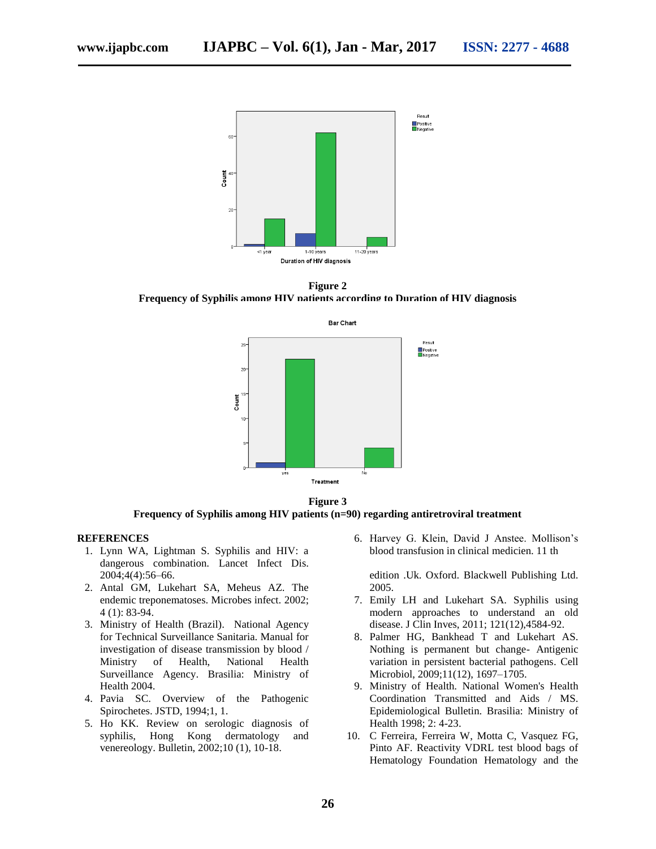

**Figure 2**

**Frequency of Syphilis among HIV patients according to Duration of HIV diagnosis**



**Frequency of Syphilis among HIV patients (n=90) regarding antiretroviral treatment**

#### **REFERENCES**

- 1. Lynn WA, Lightman S. Syphilis and HIV: a dangerous combination. Lancet Infect Dis. 2004;4(4):56–66.
- 2. Antal GM, Lukehart SA, Meheus AZ. The endemic treponematoses. Microbes infect. 2002; 4 (1): 83-94.
- 3. Ministry of Health (Brazil). National Agency for Technical Surveillance Sanitaria. Manual for investigation of disease transmission by blood / Ministry of Health, National Health Surveillance Agency. Brasilia: Ministry of Health 2004.
- 4. Pavia SC. Overview of the Pathogenic Spirochetes. JSTD, 1994;1, 1.
- 5. Ho KK. Review on serologic diagnosis of syphilis, Hong Kong dermatology and venereology. Bulletin, 2002;10 (1), 10-18.

6. Harvey G. Klein, David J Anstee. Mollison's blood transfusion in clinical medicien. 11 th

edition .Uk. Oxford. Blackwell Publishing Ltd. 2005.

- 7. Emily LH and Lukehart SA. Syphilis using modern approaches to understand an old disease. J Clin Inves, 2011; 121(12),4584-92.
- 8. Palmer HG, Bankhead T and Lukehart AS. Nothing is permanent but change- Antigenic variation in persistent bacterial pathogens. Cell Microbiol, 2009;11(12), 1697–1705.
- 9. Ministry of Health. National Women's Health Coordination Transmitted and Aids / MS. Epidemiological Bulletin. Brasilia: Ministry of Health 1998; 2: 4-23.
- 10. C Ferreira, Ferreira W, Motta C, Vasquez FG, Pinto AF. Reactivity VDRL test blood bags of Hematology Foundation Hematology and the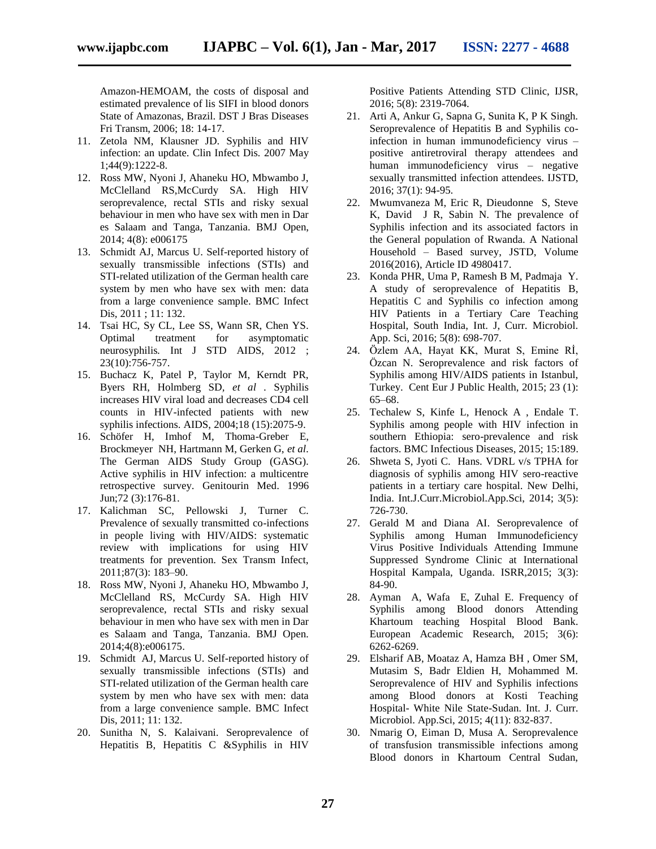Amazon-HEMOAM, the costs of disposal and estimated prevalence of lis SIFI in blood donors State of Amazonas, Brazil. DST J Bras Diseases Fri Transm, 2006; 18: 14-17.

- 11. Zetola NM, Klausner JD. Syphilis and HIV infection: an update. Clin Infect Dis*.* 2007 May 1;44(9):1222-8.
- 12. Ross MW, Nyoni J, Ahaneku HO, Mbwambo J, McClelland RS,McCurdy SA. High HIV seroprevalence, rectal STIs and risky sexual behaviour in men who have sex with men in Dar es Salaam and Tanga, Tanzania. BMJ Open, 2014; 4(8): e006175
- 13. Schmidt AJ, Marcus U. Self-reported history of sexually transmissible infections (STIs) and STI-related utilization of the German health care system by men who have sex with men: data from a large convenience sample. BMC Infect Dis*,* 2011 ; 11: 132.
- 14. Tsai HC, Sy CL, Lee SS, Wann SR, Chen YS. Optimal treatment for asymptomatic neurosyphilis*.* Int J STD AIDS, 2012 ; 23(10):756-757.
- 15. Buchacz K, Patel P, Taylor M, Kerndt PR, Byers RH, Holmberg SD*, et al* . Syphilis increases HIV viral load and decreases CD4 cell counts in HIV-infected patients with new syphilis infections. AIDS, 2004;18 (15):2075-9.
- 16. Schöfer H, Imhof M, Thoma-Greber E, Brockmeyer NH, Hartmann M, Gerken G, *et al*. The German AIDS Study Group (GASG). Active syphilis in HIV infection: a multicentre retrospective survey. Genitourin Med. 1996 Jun;72 (3):176-81.
- 17. Kalichman SC, Pellowski J, Turner C. Prevalence of sexually transmitted co-infections in people living with HIV/AIDS: systematic review with implications for using HIV treatments for prevention. Sex Transm Infect, 2011;87(3): 183–90.
- 18. Ross MW, Nyoni J, Ahaneku HO, Mbwambo J, McClelland RS, McCurdy SA. High HIV seroprevalence, rectal STIs and risky sexual behaviour in men who have sex with men in Dar es Salaam and Tanga, Tanzania. BMJ Open. 2014;4(8):e006175.
- 19. Schmidt AJ, Marcus U. Self-reported history of sexually transmissible infections (STIs) and STI-related utilization of the German health care system by men who have sex with men: data from a large convenience sample. BMC Infect Dis, 2011; 11: 132.
- 20. Sunitha N, S. Kalaivani. Seroprevalence of Hepatitis B, Hepatitis C &Syphilis in HIV

Positive Patients Attending STD Clinic, IJSR, 2016; 5(8): 2319-7064.

- 21. Arti A, Ankur G, Sapna G, Sunita K, P K Singh. Seroprevalence of Hepatitis B and Syphilis coinfection in human immunodeficiency virus – positive antiretroviral therapy attendees and human immunodeficiency virus – negative sexually transmitted infection attendees. IJSTD, 2016; 37(1): 94-95.
- 22. Mwumvaneza M, Eric R, Dieudonne S, Steve K, David J R, Sabin N. The prevalence of Syphilis infection and its associated factors in the General population of Rwanda. A National Household – Based survey, JSTD, Volume 2016(2016), Article ID 4980417.
- 23. Konda PHR, Uma P, Ramesh B M, Padmaja Y. A study of seroprevalence of Hepatitis B, Hepatitis C and Syphilis co infection among HIV Patients in a Tertiary Care Teaching Hospital, South India, Int. J, Curr. Microbiol. App. Sci, 2016; 5(8): 698-707.
- 24. Özlem AA, Hayat KK, Murat S, Emine Rİ, Özcan N. Seroprevalence and risk factors of Syphilis among HIV/AIDS patients in Istanbul, Turkey. Cent Eur J Public Health, 2015; 23 (1): 65–68.
- 25. Techalew S, Kinfe L, Henock A , Endale T. Syphilis among people with HIV infection in southern Ethiopia: sero-prevalence and risk factors. BMC Infectious Diseases, 2015; 15:189.
- 26. Shweta S, Jyoti C. Hans. VDRL v/s TPHA for diagnosis of syphilis among HIV sero-reactive patients in a tertiary care hospital. New Delhi, India. Int.J.Curr.Microbiol.App.Sci, 2014; 3(5): 726-730.
- 27. Gerald M and Diana AI. Seroprevalence of Syphilis among Human Immunodeficiency Virus Positive Individuals Attending Immune Suppressed Syndrome Clinic at International Hospital Kampala, Uganda. ISRR*,*2015; 3(3): 84-90.
- 28. Ayman A, Wafa E, Zuhal E. Frequency of Syphilis among Blood donors Attending Khartoum teaching Hospital Blood Bank. European Academic Research, 2015; 3(6): 6262-6269.
- 29. Elsharif AB, Moataz A, Hamza BH , Omer SM, Mutasim S, Badr Eldien H, Mohammed M. Seroprevalence of HIV and Syphilis infections among Blood donors at Kosti Teaching Hospital- White Nile State-Sudan. Int. J. Curr. Microbiol. App.Sci, 2015; 4(11): 832-837.
- 30. Nmarig O, Eiman D, Musa A. Seroprevalence of transfusion transmissible infections among Blood donors in Khartoum Central Sudan,